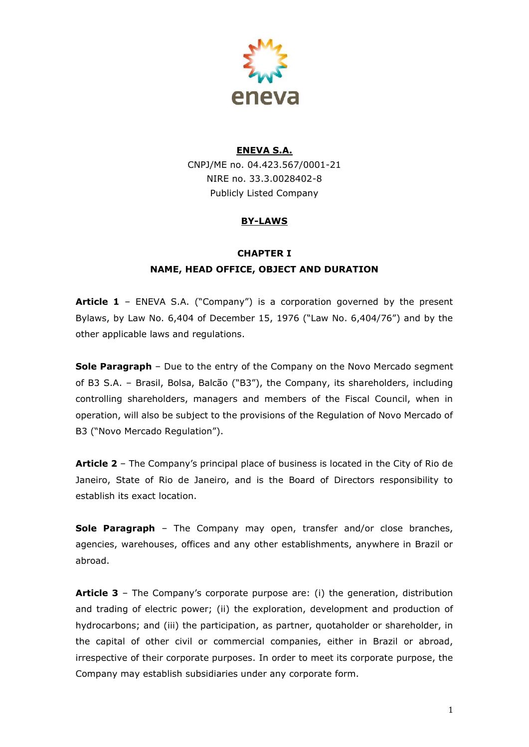

#### **ENEVA S.A.**

CNPJ/ME no. 04.423.567/0001-21 NIRE no. 33.3.0028402-8 Publicly Listed Company

#### **BY-LAWS**

#### **CHAPTER I**

#### **NAME, HEAD OFFICE, OBJECT AND DURATION**

**Article 1** – ENEVA S.A. ("Company") is a corporation governed by the present Bylaws, by Law No. 6,404 of December 15, 1976 ("Law No. 6,404/76") and by the other applicable laws and regulations.

**Sole Paragraph** – Due to the entry of the Company on the Novo Mercado segment of B3 S.A. – Brasil, Bolsa, Balcão ("B3"), the Company, its shareholders, including controlling shareholders, managers and members of the Fiscal Council, when in operation, will also be subject to the provisions of the Regulation of Novo Mercado of B3 ("Novo Mercado Regulation").

**Article 2** – The Company's principal place of business is located in the City of Rio de Janeiro, State of Rio de Janeiro, and is the Board of Directors responsibility to establish its exact location.

**Sole Paragraph** – The Company may open, transfer and/or close branches, agencies, warehouses, offices and any other establishments, anywhere in Brazil or abroad.

**Article 3** – The Company's corporate purpose are: (i) the generation, distribution and trading of electric power; (ii) the exploration, development and production of hydrocarbons; and (iii) the participation, as partner, quotaholder or shareholder, in the capital of other civil or commercial companies, either in Brazil or abroad, irrespective of their corporate purposes. In order to meet its corporate purpose, the Company may establish subsidiaries under any corporate form.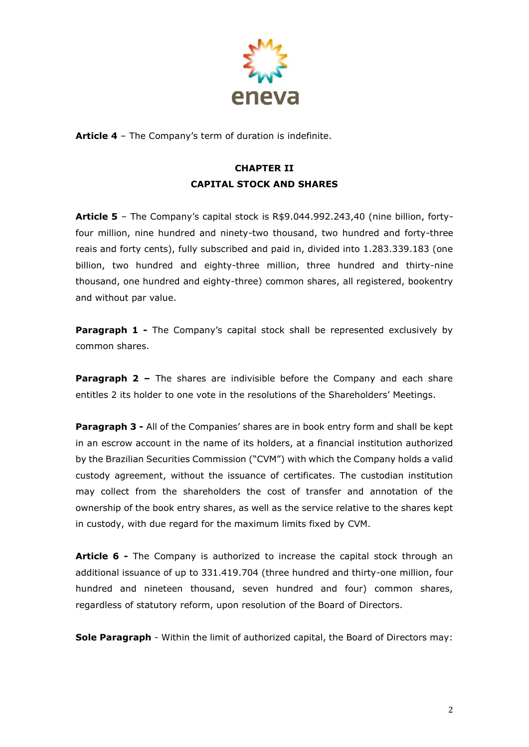

**Article 4** – The Company's term of duration is indefinite.

# **CHAPTER II CAPITAL STOCK AND SHARES**

**Article 5** – The Company's capital stock is R\$9.044.992.243,40 (nine billion, fortyfour million, nine hundred and ninety-two thousand, two hundred and forty-three reais and forty cents), fully subscribed and paid in, divided into 1.283.339.183 (one billion, two hundred and eighty-three million, three hundred and thirty-nine thousand, one hundred and eighty-three) common shares, all registered, bookentry and without par value.

**Paragraph 1 -** The Company's capital stock shall be represented exclusively by common shares.

**Paragraph 2 –** The shares are indivisible before the Company and each share entitles 2 its holder to one vote in the resolutions of the Shareholders' Meetings.

**Paragraph 3 -** All of the Companies' shares are in book entry form and shall be kept in an escrow account in the name of its holders, at a financial institution authorized by the Brazilian Securities Commission ("CVM") with which the Company holds a valid custody agreement, without the issuance of certificates. The custodian institution may collect from the shareholders the cost of transfer and annotation of the ownership of the book entry shares, as well as the service relative to the shares kept in custody, with due regard for the maximum limits fixed by CVM.

**Article 6 -** The Company is authorized to increase the capital stock through an additional issuance of up to 331.419.704 (three hundred and thirty-one million, four hundred and nineteen thousand, seven hundred and four) common shares, regardless of statutory reform, upon resolution of the Board of Directors.

**Sole Paragraph** - Within the limit of authorized capital, the Board of Directors may: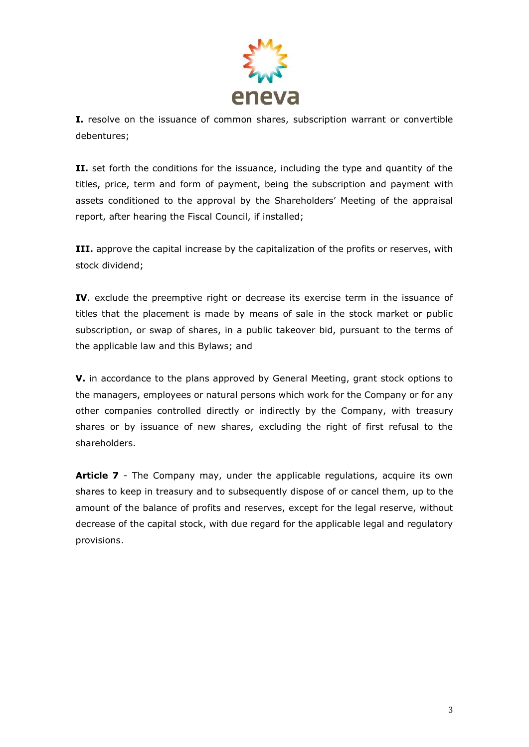

**I.** resolve on the issuance of common shares, subscription warrant or convertible debentures;

**II.** set forth the conditions for the issuance, including the type and quantity of the titles, price, term and form of payment, being the subscription and payment with assets conditioned to the approval by the Shareholders' Meeting of the appraisal report, after hearing the Fiscal Council, if installed;

**III.** approve the capital increase by the capitalization of the profits or reserves, with stock dividend;

**IV**. exclude the preemptive right or decrease its exercise term in the issuance of titles that the placement is made by means of sale in the stock market or public subscription, or swap of shares, in a public takeover bid, pursuant to the terms of the applicable law and this Bylaws; and

**V.** in accordance to the plans approved by General Meeting, grant stock options to the managers, employees or natural persons which work for the Company or for any other companies controlled directly or indirectly by the Company, with treasury shares or by issuance of new shares, excluding the right of first refusal to the shareholders.

**Article 7** - The Company may, under the applicable regulations, acquire its own shares to keep in treasury and to subsequently dispose of or cancel them, up to the amount of the balance of profits and reserves, except for the legal reserve, without decrease of the capital stock, with due regard for the applicable legal and regulatory provisions.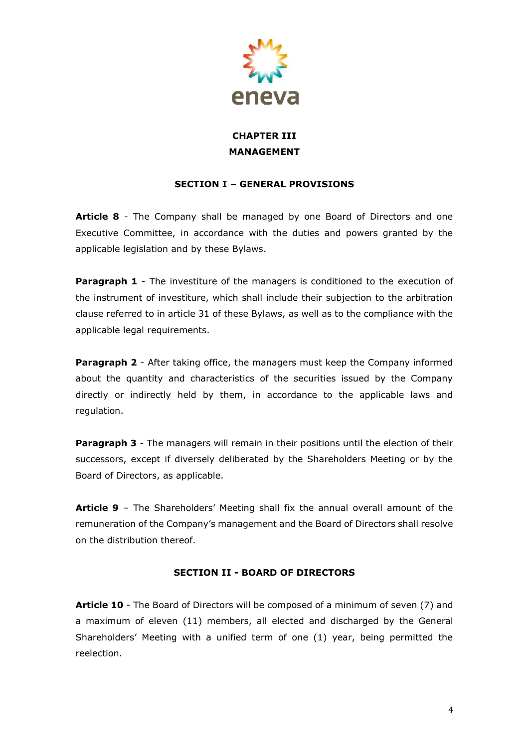

### **CHAPTER III MANAGEMENT**

#### **SECTION I – GENERAL PROVISIONS**

**Article 8** - The Company shall be managed by one Board of Directors and one Executive Committee, in accordance with the duties and powers granted by the applicable legislation and by these Bylaws.

**Paragraph 1** - The investiture of the managers is conditioned to the execution of the instrument of investiture, which shall include their subjection to the arbitration clause referred to in article 31 of these Bylaws, as well as to the compliance with the applicable legal requirements.

**Paragraph 2** - After taking office, the managers must keep the Company informed about the quantity and characteristics of the securities issued by the Company directly or indirectly held by them, in accordance to the applicable laws and regulation.

**Paragraph 3** - The managers will remain in their positions until the election of their successors, except if diversely deliberated by the Shareholders Meeting or by the Board of Directors, as applicable.

**Article 9** – The Shareholders' Meeting shall fix the annual overall amount of the remuneration of the Company's management and the Board of Directors shall resolve on the distribution thereof.

#### **SECTION II - BOARD OF DIRECTORS**

**Article 10** - The Board of Directors will be composed of a minimum of seven (7) and a maximum of eleven (11) members, all elected and discharged by the General Shareholders' Meeting with a unified term of one (1) year, being permitted the reelection.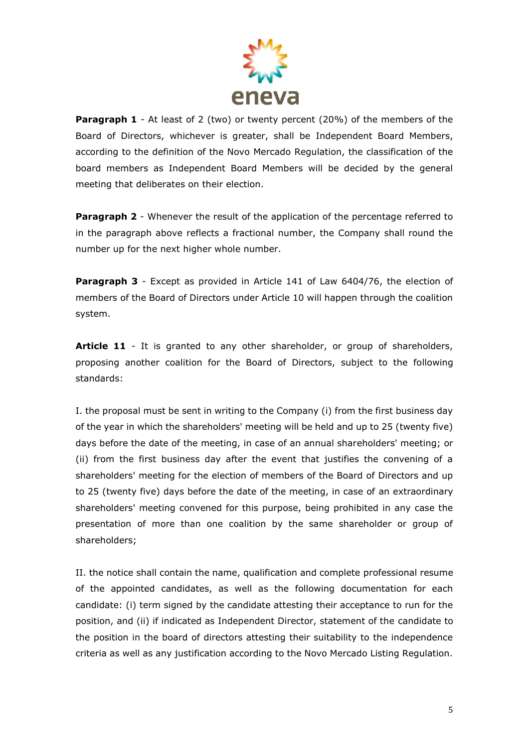

**Paragraph 1** - At least of 2 (two) or twenty percent (20%) of the members of the Board of Directors, whichever is greater, shall be Independent Board Members, according to the definition of the Novo Mercado Regulation, the classification of the board members as Independent Board Members will be decided by the general meeting that deliberates on their election.

**Paragraph 2** - Whenever the result of the application of the percentage referred to in the paragraph above reflects a fractional number, the Company shall round the number up for the next higher whole number.

**Paragraph 3** - Except as provided in Article 141 of Law 6404/76, the election of members of the Board of Directors under Article 10 will happen through the coalition system.

**Article 11** - It is granted to any other shareholder, or group of shareholders, proposing another coalition for the Board of Directors, subject to the following standards:

I. the proposal must be sent in writing to the Company (i) from the first business day of the year in which the shareholders' meeting will be held and up to 25 (twenty five) days before the date of the meeting, in case of an annual shareholders' meeting; or (ii) from the first business day after the event that justifies the convening of a shareholders' meeting for the election of members of the Board of Directors and up to 25 (twenty five) days before the date of the meeting, in case of an extraordinary shareholders' meeting convened for this purpose, being prohibited in any case the presentation of more than one coalition by the same shareholder or group of shareholders;

II. the notice shall contain the name, qualification and complete professional resume of the appointed candidates, as well as the following documentation for each candidate: (i) term signed by the candidate attesting their acceptance to run for the position, and (ii) if indicated as Independent Director, statement of the candidate to the position in the board of directors attesting their suitability to the independence criteria as well as any justification according to the Novo Mercado Listing Regulation.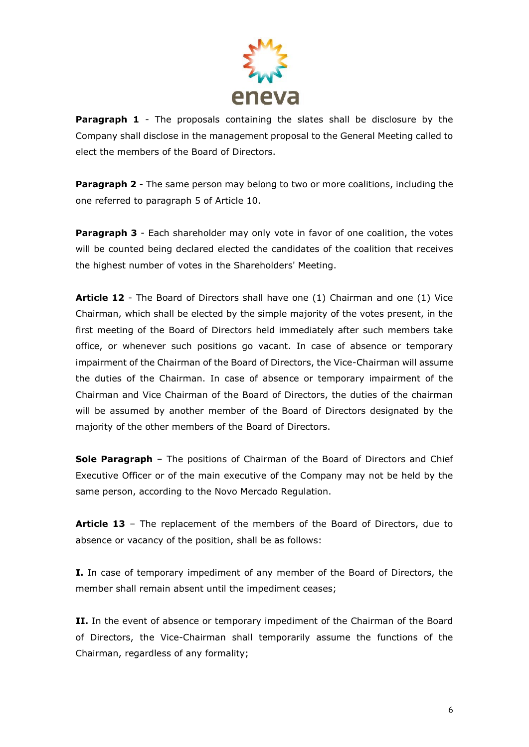

**Paragraph 1** - The proposals containing the slates shall be disclosure by the Company shall disclose in the management proposal to the General Meeting called to elect the members of the Board of Directors.

**Paragraph 2** - The same person may belong to two or more coalitions, including the one referred to paragraph 5 of Article 10.

**Paragraph 3** - Each shareholder may only vote in favor of one coalition, the votes will be counted being declared elected the candidates of the coalition that receives the highest number of votes in the Shareholders' Meeting.

**Article 12** - The Board of Directors shall have one (1) Chairman and one (1) Vice Chairman, which shall be elected by the simple majority of the votes present, in the first meeting of the Board of Directors held immediately after such members take office, or whenever such positions go vacant. In case of absence or temporary impairment of the Chairman of the Board of Directors, the Vice-Chairman will assume the duties of the Chairman. In case of absence or temporary impairment of the Chairman and Vice Chairman of the Board of Directors, the duties of the chairman will be assumed by another member of the Board of Directors designated by the majority of the other members of the Board of Directors.

**Sole Paragraph** - The positions of Chairman of the Board of Directors and Chief Executive Officer or of the main executive of the Company may not be held by the same person, according to the Novo Mercado Regulation.

**Article 13** – The replacement of the members of the Board of Directors, due to absence or vacancy of the position, shall be as follows:

**I.** In case of temporary impediment of any member of the Board of Directors, the member shall remain absent until the impediment ceases;

**II.** In the event of absence or temporary impediment of the Chairman of the Board of Directors, the Vice-Chairman shall temporarily assume the functions of the Chairman, regardless of any formality;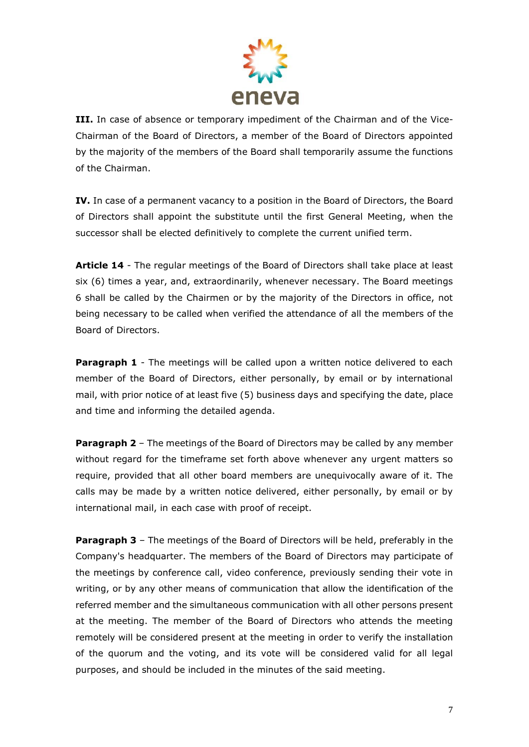

**III.** In case of absence or temporary impediment of the Chairman and of the Vice-Chairman of the Board of Directors, a member of the Board of Directors appointed by the majority of the members of the Board shall temporarily assume the functions of the Chairman.

**IV.** In case of a permanent vacancy to a position in the Board of Directors, the Board of Directors shall appoint the substitute until the first General Meeting, when the successor shall be elected definitively to complete the current unified term.

**Article 14** - The regular meetings of the Board of Directors shall take place at least six (6) times a year, and, extraordinarily, whenever necessary. The Board meetings 6 shall be called by the Chairmen or by the majority of the Directors in office, not being necessary to be called when verified the attendance of all the members of the Board of Directors.

**Paragraph 1** - The meetings will be called upon a written notice delivered to each member of the Board of Directors, either personally, by email or by international mail, with prior notice of at least five (5) business days and specifying the date, place and time and informing the detailed agenda.

**Paragraph 2** – The meetings of the Board of Directors may be called by any member without regard for the timeframe set forth above whenever any urgent matters so require, provided that all other board members are unequivocally aware of it. The calls may be made by a written notice delivered, either personally, by email or by international mail, in each case with proof of receipt.

**Paragraph 3** – The meetings of the Board of Directors will be held, preferably in the Company's headquarter. The members of the Board of Directors may participate of the meetings by conference call, video conference, previously sending their vote in writing, or by any other means of communication that allow the identification of the referred member and the simultaneous communication with all other persons present at the meeting. The member of the Board of Directors who attends the meeting remotely will be considered present at the meeting in order to verify the installation of the quorum and the voting, and its vote will be considered valid for all legal purposes, and should be included in the minutes of the said meeting.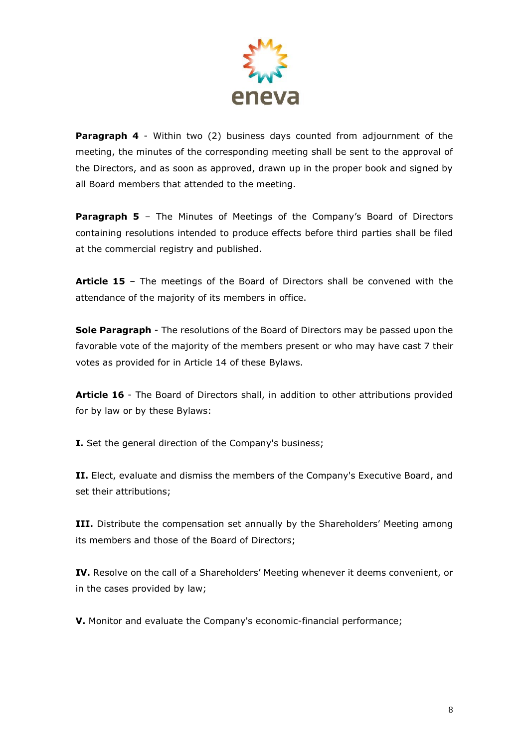

**Paragraph 4** - Within two (2) business days counted from adjournment of the meeting, the minutes of the corresponding meeting shall be sent to the approval of the Directors, and as soon as approved, drawn up in the proper book and signed by all Board members that attended to the meeting.

**Paragraph 5** – The Minutes of Meetings of the Company's Board of Directors containing resolutions intended to produce effects before third parties shall be filed at the commercial registry and published.

**Article 15** – The meetings of the Board of Directors shall be convened with the attendance of the majority of its members in office.

**Sole Paragraph** - The resolutions of the Board of Directors may be passed upon the favorable vote of the majority of the members present or who may have cast 7 their votes as provided for in Article 14 of these Bylaws.

**Article 16** - The Board of Directors shall, in addition to other attributions provided for by law or by these Bylaws:

**I.** Set the general direction of the Company's business;

**II.** Elect, evaluate and dismiss the members of the Company's Executive Board, and set their attributions;

**III.** Distribute the compensation set annually by the Shareholders' Meeting among its members and those of the Board of Directors;

**IV.** Resolve on the call of a Shareholders' Meeting whenever it deems convenient, or in the cases provided by law;

**V.** Monitor and evaluate the Company's economic-financial performance;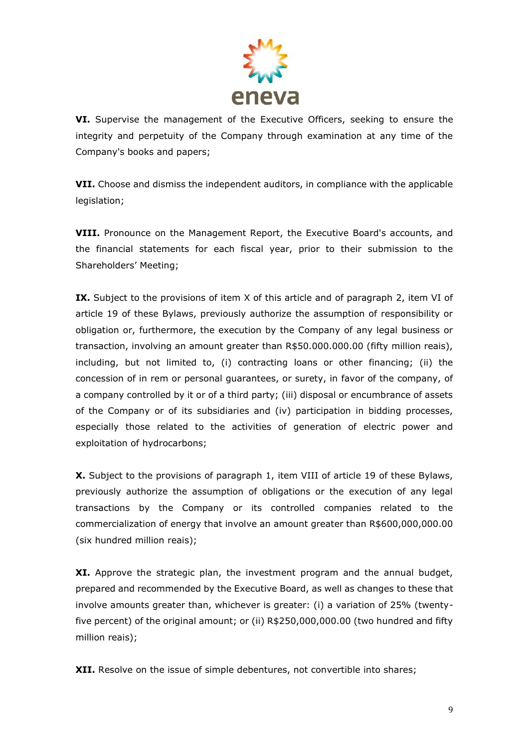

**VI.** Supervise the management of the Executive Officers, seeking to ensure the integrity and perpetuity of the Company through examination at any time of the Company's books and papers;

**VII.** Choose and dismiss the independent auditors, in compliance with the applicable legislation;

**VIII.** Pronounce on the Management Report, the Executive Board's accounts, and the financial statements for each fiscal year, prior to their submission to the Shareholders' Meeting;

**IX.** Subject to the provisions of item X of this article and of paragraph 2, item VI of article 19 of these Bylaws, previously authorize the assumption of responsibility or obligation or, furthermore, the execution by the Company of any legal business or transaction, involving an amount greater than R\$50.000.000.00 (fifty million reais), including, but not limited to, (i) contracting loans or other financing; (ii) the concession of in rem or personal guarantees, or surety, in favor of the company, of a company controlled by it or of a third party; (iii) disposal or encumbrance of assets of the Company or of its subsidiaries and (iv) participation in bidding processes, especially those related to the activities of generation of electric power and exploitation of hydrocarbons;

**X.** Subject to the provisions of paragraph 1, item VIII of article 19 of these Bylaws, previously authorize the assumption of obligations or the execution of any legal transactions by the Company or its controlled companies related to the commercialization of energy that involve an amount greater than R\$600,000,000.00 (six hundred million reais);

**XI.** Approve the strategic plan, the investment program and the annual budget, prepared and recommended by the Executive Board, as well as changes to these that involve amounts greater than, whichever is greater: (i) a variation of 25% (twentyfive percent) of the original amount; or (ii) R\$250,000,000.00 (two hundred and fifty million reais);

**XII.** Resolve on the issue of simple debentures, not convertible into shares;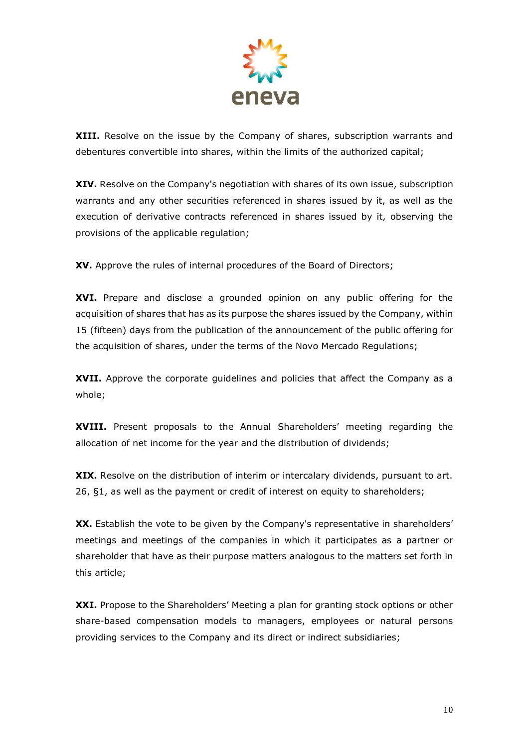

**XIII.** Resolve on the issue by the Company of shares, subscription warrants and debentures convertible into shares, within the limits of the authorized capital;

**XIV.** Resolve on the Company's negotiation with shares of its own issue, subscription warrants and any other securities referenced in shares issued by it, as well as the execution of derivative contracts referenced in shares issued by it, observing the provisions of the applicable regulation;

**XV.** Approve the rules of internal procedures of the Board of Directors;

**XVI.** Prepare and disclose a grounded opinion on any public offering for the acquisition of shares that has as its purpose the shares issued by the Company, within 15 (fifteen) days from the publication of the announcement of the public offering for the acquisition of shares, under the terms of the Novo Mercado Regulations;

**XVII.** Approve the corporate guidelines and policies that affect the Company as a whole;

**XVIII.** Present proposals to the Annual Shareholders' meeting regarding the allocation of net income for the year and the distribution of dividends;

**XIX.** Resolve on the distribution of interim or intercalary dividends, pursuant to art. 26, §1, as well as the payment or credit of interest on equity to shareholders;

**XX.** Establish the vote to be given by the Company's representative in shareholders' meetings and meetings of the companies in which it participates as a partner or shareholder that have as their purpose matters analogous to the matters set forth in this article;

**XXI.** Propose to the Shareholders' Meeting a plan for granting stock options or other share-based compensation models to managers, employees or natural persons providing services to the Company and its direct or indirect subsidiaries;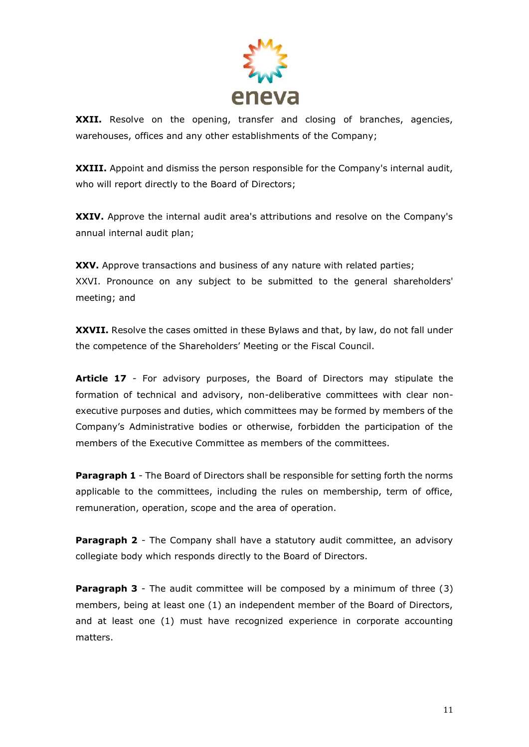

**XXII.** Resolve on the opening, transfer and closing of branches, agencies, warehouses, offices and any other establishments of the Company;

**XXIII.** Appoint and dismiss the person responsible for the Company's internal audit, who will report directly to the Board of Directors;

**XXIV.** Approve the internal audit area's attributions and resolve on the Company's annual internal audit plan;

**XXV.** Approve transactions and business of any nature with related parties; XXVI. Pronounce on any subject to be submitted to the general shareholders' meeting; and

**XXVII.** Resolve the cases omitted in these Bylaws and that, by law, do not fall under the competence of the Shareholders' Meeting or the Fiscal Council.

Article 17 - For advisory purposes, the Board of Directors may stipulate the formation of technical and advisory, non-deliberative committees with clear nonexecutive purposes and duties, which committees may be formed by members of the Company's Administrative bodies or otherwise, forbidden the participation of the members of the Executive Committee as members of the committees.

**Paragraph 1** - The Board of Directors shall be responsible for setting forth the norms applicable to the committees, including the rules on membership, term of office, remuneration, operation, scope and the area of operation.

**Paragraph 2** - The Company shall have a statutory audit committee, an advisory collegiate body which responds directly to the Board of Directors.

**Paragraph 3** - The audit committee will be composed by a minimum of three (3) members, being at least one (1) an independent member of the Board of Directors, and at least one (1) must have recognized experience in corporate accounting matters.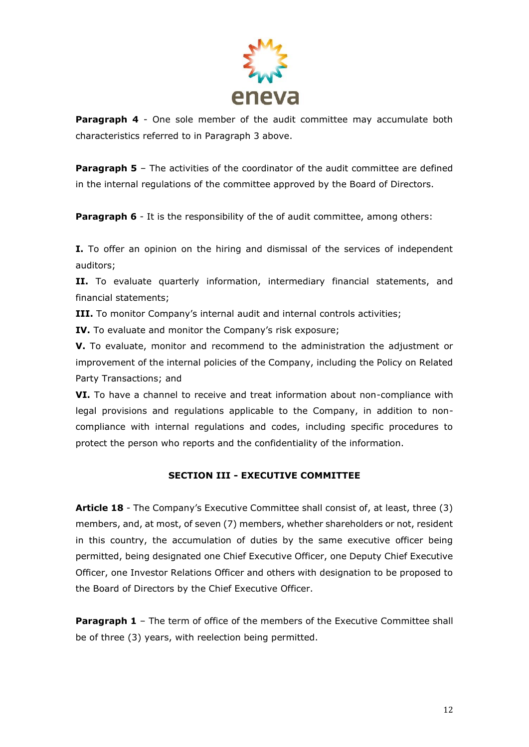

**Paragraph 4** - One sole member of the audit committee may accumulate both characteristics referred to in Paragraph 3 above.

**Paragraph 5** - The activities of the coordinator of the audit committee are defined in the internal regulations of the committee approved by the Board of Directors.

**Paragraph 6** - It is the responsibility of the of audit committee, among others:

**I.** To offer an opinion on the hiring and dismissal of the services of independent auditors;

**II.** To evaluate quarterly information, intermediary financial statements, and financial statements;

**III.** To monitor Company's internal audit and internal controls activities;

**IV.** To evaluate and monitor the Company's risk exposure;

**V.** To evaluate, monitor and recommend to the administration the adjustment or improvement of the internal policies of the Company, including the Policy on Related Party Transactions; and

**VI.** To have a channel to receive and treat information about non-compliance with legal provisions and regulations applicable to the Company, in addition to noncompliance with internal regulations and codes, including specific procedures to protect the person who reports and the confidentiality of the information.

### **SECTION III - EXECUTIVE COMMITTEE**

**Article 18** - The Company's Executive Committee shall consist of, at least, three (3) members, and, at most, of seven (7) members, whether shareholders or not, resident in this country, the accumulation of duties by the same executive officer being permitted, being designated one Chief Executive Officer, one Deputy Chief Executive Officer, one Investor Relations Officer and others with designation to be proposed to the Board of Directors by the Chief Executive Officer.

**Paragraph 1** – The term of office of the members of the Executive Committee shall be of three (3) years, with reelection being permitted.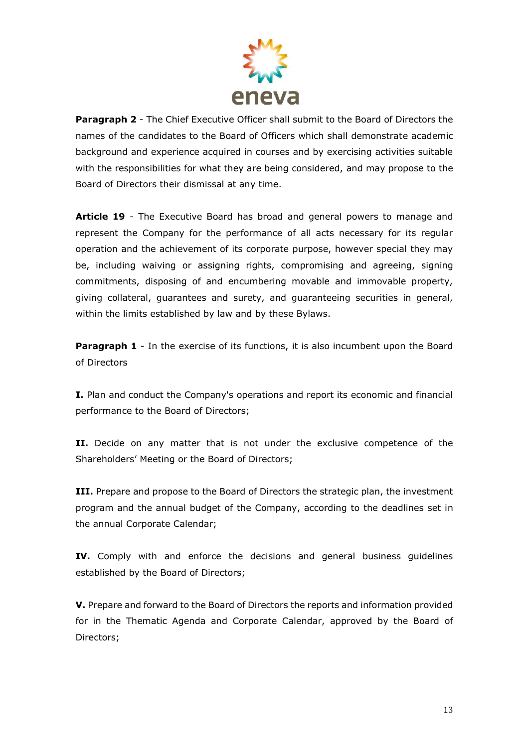

**Paragraph 2** - The Chief Executive Officer shall submit to the Board of Directors the names of the candidates to the Board of Officers which shall demonstrate academic background and experience acquired in courses and by exercising activities suitable with the responsibilities for what they are being considered, and may propose to the Board of Directors their dismissal at any time.

**Article 19** - The Executive Board has broad and general powers to manage and represent the Company for the performance of all acts necessary for its regular operation and the achievement of its corporate purpose, however special they may be, including waiving or assigning rights, compromising and agreeing, signing commitments, disposing of and encumbering movable and immovable property, giving collateral, guarantees and surety, and guaranteeing securities in general, within the limits established by law and by these Bylaws.

**Paragraph 1** - In the exercise of its functions, it is also incumbent upon the Board of Directors

**I.** Plan and conduct the Company's operations and report its economic and financial performance to the Board of Directors;

**II.** Decide on any matter that is not under the exclusive competence of the Shareholders' Meeting or the Board of Directors;

**III.** Prepare and propose to the Board of Directors the strategic plan, the investment program and the annual budget of the Company, according to the deadlines set in the annual Corporate Calendar;

**IV.** Comply with and enforce the decisions and general business guidelines established by the Board of Directors;

**V.** Prepare and forward to the Board of Directors the reports and information provided for in the Thematic Agenda and Corporate Calendar, approved by the Board of Directors;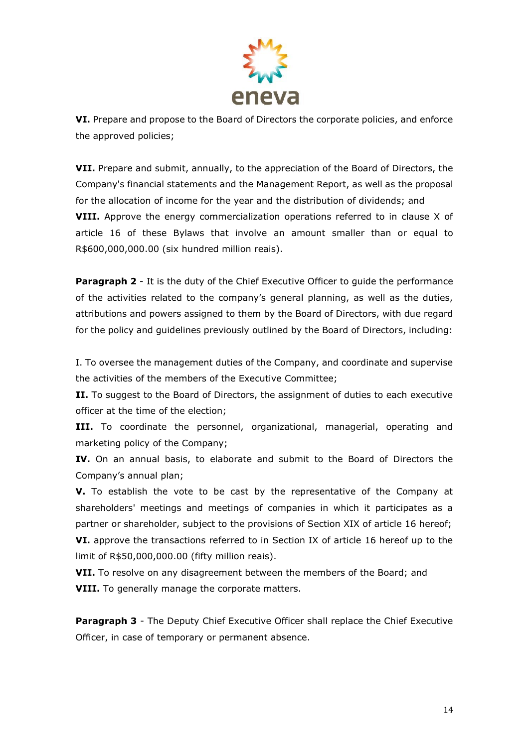

**VI.** Prepare and propose to the Board of Directors the corporate policies, and enforce the approved policies;

**VII.** Prepare and submit, annually, to the appreciation of the Board of Directors, the Company's financial statements and the Management Report, as well as the proposal for the allocation of income for the year and the distribution of dividends; and **VIII.** Approve the energy commercialization operations referred to in clause X of article 16 of these Bylaws that involve an amount smaller than or equal to R\$600,000,000.00 (six hundred million reais).

**Paragraph 2** - It is the duty of the Chief Executive Officer to guide the performance of the activities related to the company's general planning, as well as the duties, attributions and powers assigned to them by the Board of Directors, with due regard for the policy and guidelines previously outlined by the Board of Directors, including:

I. To oversee the management duties of the Company, and coordinate and supervise the activities of the members of the Executive Committee;

**II.** To suggest to the Board of Directors, the assignment of duties to each executive officer at the time of the election;

**III.** To coordinate the personnel, organizational, managerial, operating and marketing policy of the Company;

**IV.** On an annual basis, to elaborate and submit to the Board of Directors the Company's annual plan;

**V.** To establish the vote to be cast by the representative of the Company at shareholders' meetings and meetings of companies in which it participates as a partner or shareholder, subject to the provisions of Section XIX of article 16 hereof; **VI.** approve the transactions referred to in Section IX of article 16 hereof up to the limit of R\$50,000,000.00 (fifty million reais).

**VII.** To resolve on any disagreement between the members of the Board; and **VIII.** To generally manage the corporate matters.

**Paragraph 3** - The Deputy Chief Executive Officer shall replace the Chief Executive Officer, in case of temporary or permanent absence.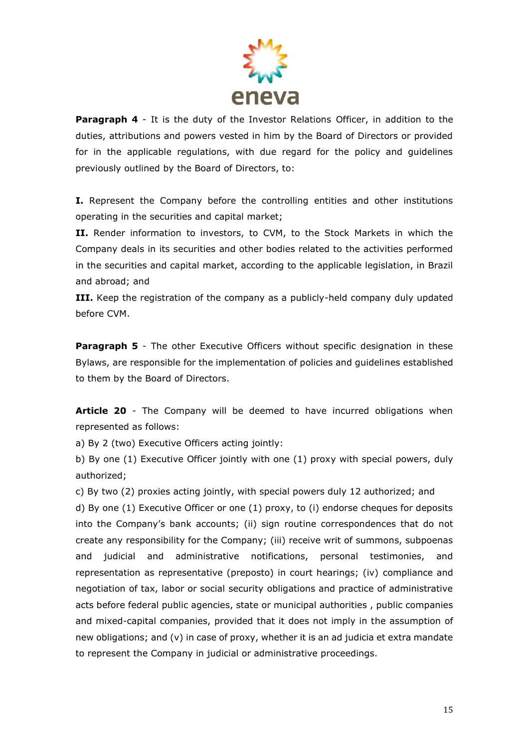

**Paragraph 4** - It is the duty of the Investor Relations Officer, in addition to the duties, attributions and powers vested in him by the Board of Directors or provided for in the applicable regulations, with due regard for the policy and guidelines previously outlined by the Board of Directors, to:

**I.** Represent the Company before the controlling entities and other institutions operating in the securities and capital market;

**II.** Render information to investors, to CVM, to the Stock Markets in which the Company deals in its securities and other bodies related to the activities performed in the securities and capital market, according to the applicable legislation, in Brazil and abroad; and

**III.** Keep the registration of the company as a publicly-held company duly updated before CVM.

**Paragraph 5** - The other Executive Officers without specific designation in these Bylaws, are responsible for the implementation of policies and guidelines established to them by the Board of Directors.

**Article 20** - The Company will be deemed to have incurred obligations when represented as follows:

a) By 2 (two) Executive Officers acting jointly:

b) By one (1) Executive Officer jointly with one (1) proxy with special powers, duly authorized;

c) By two (2) proxies acting jointly, with special powers duly 12 authorized; and d) By one (1) Executive Officer or one (1) proxy, to (i) endorse cheques for deposits into the Company's bank accounts; (ii) sign routine correspondences that do not create any responsibility for the Company; (iii) receive writ of summons, subpoenas and judicial and administrative notifications, personal testimonies, and representation as representative (preposto) in court hearings; (iv) compliance and negotiation of tax, labor or social security obligations and practice of administrative acts before federal public agencies, state or municipal authorities , public companies and mixed-capital companies, provided that it does not imply in the assumption of new obligations; and (v) in case of proxy, whether it is an ad judicia et extra mandate to represent the Company in judicial or administrative proceedings.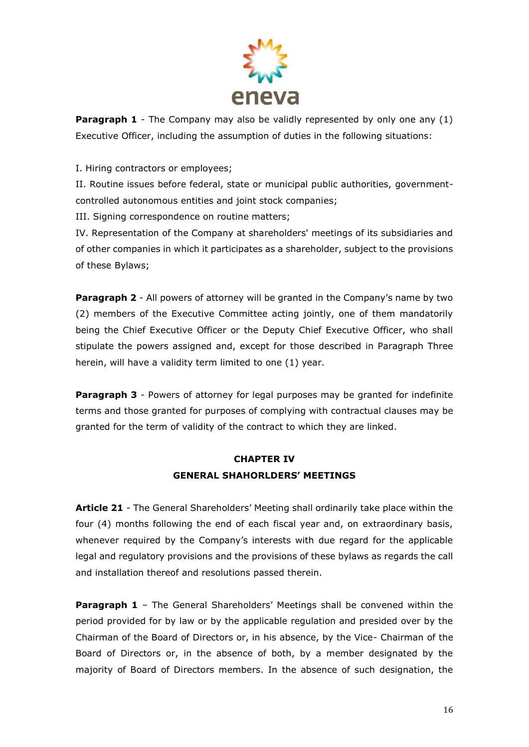

**Paragraph 1** - The Company may also be validly represented by only one any (1) Executive Officer, including the assumption of duties in the following situations:

I. Hiring contractors or employees;

II. Routine issues before federal, state or municipal public authorities, governmentcontrolled autonomous entities and joint stock companies;

III. Signing correspondence on routine matters;

IV. Representation of the Company at shareholders' meetings of its subsidiaries and of other companies in which it participates as a shareholder, subject to the provisions of these Bylaws;

**Paragraph 2** - All powers of attorney will be granted in the Company's name by two (2) members of the Executive Committee acting jointly, one of them mandatorily being the Chief Executive Officer or the Deputy Chief Executive Officer, who shall stipulate the powers assigned and, except for those described in Paragraph Three herein, will have a validity term limited to one (1) year.

Paragraph 3 - Powers of attorney for legal purposes may be granted for indefinite terms and those granted for purposes of complying with contractual clauses may be granted for the term of validity of the contract to which they are linked.

# **CHAPTER IV GENERAL SHAHORLDERS' MEETINGS**

**Article 21** - The General Shareholders' Meeting shall ordinarily take place within the four (4) months following the end of each fiscal year and, on extraordinary basis, whenever required by the Company's interests with due regard for the applicable legal and regulatory provisions and the provisions of these bylaws as regards the call and installation thereof and resolutions passed therein.

**Paragraph 1** – The General Shareholders' Meetings shall be convened within the period provided for by law or by the applicable regulation and presided over by the Chairman of the Board of Directors or, in his absence, by the Vice- Chairman of the Board of Directors or, in the absence of both, by a member designated by the majority of Board of Directors members. In the absence of such designation, the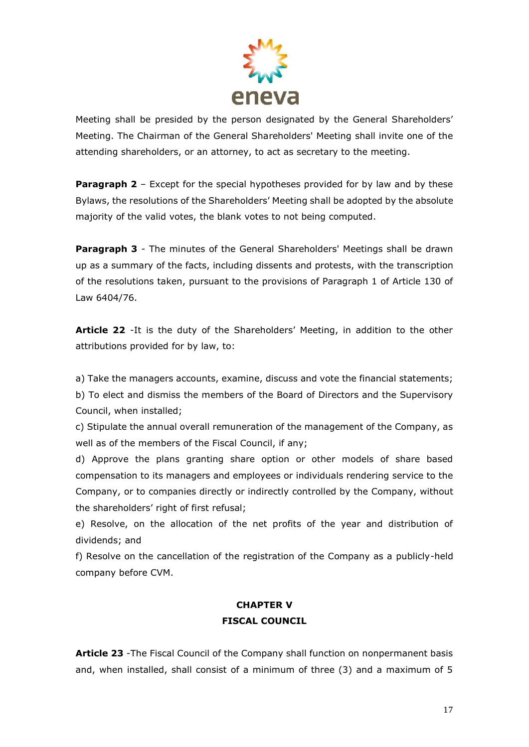

Meeting shall be presided by the person designated by the General Shareholders' Meeting. The Chairman of the General Shareholders' Meeting shall invite one of the attending shareholders, or an attorney, to act as secretary to the meeting.

**Paragraph 2** – Except for the special hypotheses provided for by law and by these Bylaws, the resolutions of the Shareholders' Meeting shall be adopted by the absolute majority of the valid votes, the blank votes to not being computed.

**Paragraph 3** - The minutes of the General Shareholders' Meetings shall be drawn up as a summary of the facts, including dissents and protests, with the transcription of the resolutions taken, pursuant to the provisions of Paragraph 1 of Article 130 of Law 6404/76.

**Article 22** -It is the duty of the Shareholders' Meeting, in addition to the other attributions provided for by law, to:

a) Take the managers accounts, examine, discuss and vote the financial statements; b) To elect and dismiss the members of the Board of Directors and the Supervisory Council, when installed;

c) Stipulate the annual overall remuneration of the management of the Company, as well as of the members of the Fiscal Council, if any;

d) Approve the plans granting share option or other models of share based compensation to its managers and employees or individuals rendering service to the Company, or to companies directly or indirectly controlled by the Company, without the shareholders' right of first refusal;

e) Resolve, on the allocation of the net profits of the year and distribution of dividends; and

f) Resolve on the cancellation of the registration of the Company as a publicly-held company before CVM.

# **CHAPTER V FISCAL COUNCIL**

**Article 23** -The Fiscal Council of the Company shall function on nonpermanent basis and, when installed, shall consist of a minimum of three (3) and a maximum of 5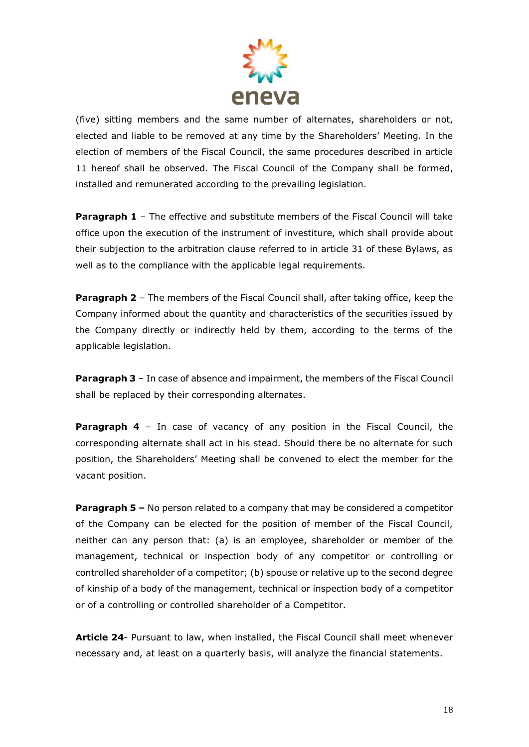

(five) sitting members and the same number of alternates, shareholders or not, elected and liable to be removed at any time by the Shareholders' Meeting. In the election of members of the Fiscal Council, the same procedures described in article 11 hereof shall be observed. The Fiscal Council of the Company shall be formed, installed and remunerated according to the prevailing legislation.

**Paragraph 1** – The effective and substitute members of the Fiscal Council will take office upon the execution of the instrument of investiture, which shall provide about their subjection to the arbitration clause referred to in article 31 of these Bylaws, as well as to the compliance with the applicable legal requirements.

**Paragraph 2** - The members of the Fiscal Council shall, after taking office, keep the Company informed about the quantity and characteristics of the securities issued by the Company directly or indirectly held by them, according to the terms of the applicable legislation.

**Paragraph 3** – In case of absence and impairment, the members of the Fiscal Council shall be replaced by their corresponding alternates.

**Paragraph 4** – In case of vacancy of any position in the Fiscal Council, the corresponding alternate shall act in his stead. Should there be no alternate for such position, the Shareholders' Meeting shall be convened to elect the member for the vacant position.

**Paragraph 5 –** No person related to a company that may be considered a competitor of the Company can be elected for the position of member of the Fiscal Council, neither can any person that: (a) is an employee, shareholder or member of the management, technical or inspection body of any competitor or controlling or controlled shareholder of a competitor; (b) spouse or relative up to the second degree of kinship of a body of the management, technical or inspection body of a competitor or of a controlling or controlled shareholder of a Competitor.

**Article 24**- Pursuant to law, when installed, the Fiscal Council shall meet whenever necessary and, at least on a quarterly basis, will analyze the financial statements.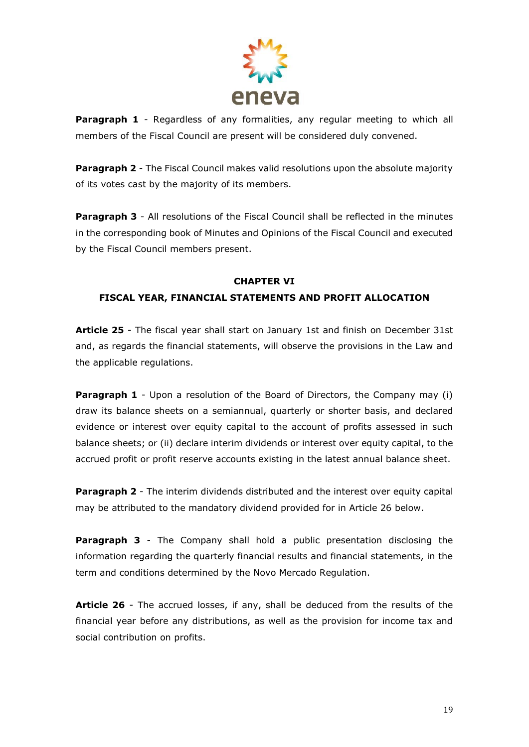

**Paragraph 1** - Regardless of any formalities, any regular meeting to which all members of the Fiscal Council are present will be considered duly convened.

**Paragraph 2** - The Fiscal Council makes valid resolutions upon the absolute majority of its votes cast by the majority of its members.

**Paragraph 3** - All resolutions of the Fiscal Council shall be reflected in the minutes in the corresponding book of Minutes and Opinions of the Fiscal Council and executed by the Fiscal Council members present.

#### **CHAPTER VI**

### **FISCAL YEAR, FINANCIAL STATEMENTS AND PROFIT ALLOCATION**

**Article 25** - The fiscal year shall start on January 1st and finish on December 31st and, as regards the financial statements, will observe the provisions in the Law and the applicable regulations.

**Paragraph 1** - Upon a resolution of the Board of Directors, the Company may (i) draw its balance sheets on a semiannual, quarterly or shorter basis, and declared evidence or interest over equity capital to the account of profits assessed in such balance sheets; or (ii) declare interim dividends or interest over equity capital, to the accrued profit or profit reserve accounts existing in the latest annual balance sheet.

**Paragraph 2** - The interim dividends distributed and the interest over equity capital may be attributed to the mandatory dividend provided for in Article 26 below.

**Paragraph 3** - The Company shall hold a public presentation disclosing the information regarding the quarterly financial results and financial statements, in the term and conditions determined by the Novo Mercado Regulation.

**Article 26** - The accrued losses, if any, shall be deduced from the results of the financial year before any distributions, as well as the provision for income tax and social contribution on profits.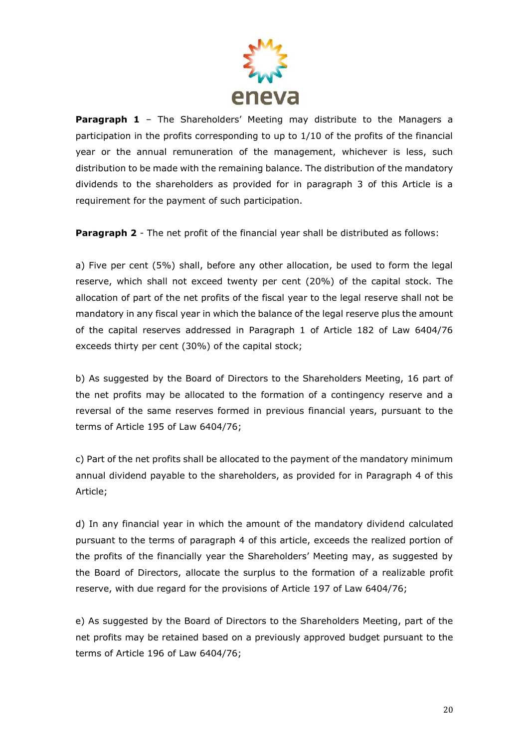

**Paragraph 1** - The Shareholders' Meeting may distribute to the Managers a participation in the profits corresponding to up to 1/10 of the profits of the financial year or the annual remuneration of the management, whichever is less, such distribution to be made with the remaining balance. The distribution of the mandatory dividends to the shareholders as provided for in paragraph 3 of this Article is a requirement for the payment of such participation.

**Paragraph 2** - The net profit of the financial year shall be distributed as follows:

a) Five per cent (5%) shall, before any other allocation, be used to form the legal reserve, which shall not exceed twenty per cent (20%) of the capital stock. The allocation of part of the net profits of the fiscal year to the legal reserve shall not be mandatory in any fiscal year in which the balance of the legal reserve plus the amount of the capital reserves addressed in Paragraph 1 of Article 182 of Law 6404/76 exceeds thirty per cent (30%) of the capital stock;

b) As suggested by the Board of Directors to the Shareholders Meeting, 16 part of the net profits may be allocated to the formation of a contingency reserve and a reversal of the same reserves formed in previous financial years, pursuant to the terms of Article 195 of Law 6404/76;

c) Part of the net profits shall be allocated to the payment of the mandatory minimum annual dividend payable to the shareholders, as provided for in Paragraph 4 of this Article;

d) In any financial year in which the amount of the mandatory dividend calculated pursuant to the terms of paragraph 4 of this article, exceeds the realized portion of the profits of the financially year the Shareholders' Meeting may, as suggested by the Board of Directors, allocate the surplus to the formation of a realizable profit reserve, with due regard for the provisions of Article 197 of Law 6404/76;

e) As suggested by the Board of Directors to the Shareholders Meeting, part of the net profits may be retained based on a previously approved budget pursuant to the terms of Article 196 of Law 6404/76;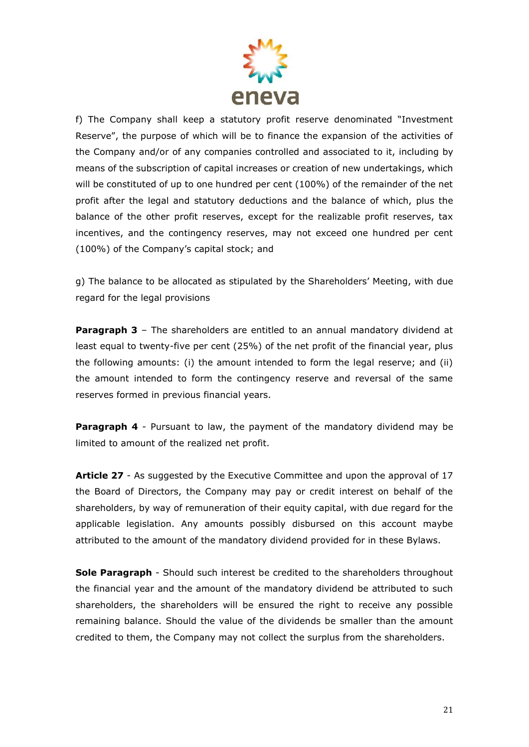

f) The Company shall keep a statutory profit reserve denominated "Investment Reserve", the purpose of which will be to finance the expansion of the activities of the Company and/or of any companies controlled and associated to it, including by means of the subscription of capital increases or creation of new undertakings, which will be constituted of up to one hundred per cent (100%) of the remainder of the net profit after the legal and statutory deductions and the balance of which, plus the balance of the other profit reserves, except for the realizable profit reserves, tax incentives, and the contingency reserves, may not exceed one hundred per cent (100%) of the Company's capital stock; and

g) The balance to be allocated as stipulated by the Shareholders' Meeting, with due regard for the legal provisions

**Paragraph 3** – The shareholders are entitled to an annual mandatory dividend at least equal to twenty-five per cent (25%) of the net profit of the financial year, plus the following amounts: (i) the amount intended to form the legal reserve; and (ii) the amount intended to form the contingency reserve and reversal of the same reserves formed in previous financial years.

**Paragraph 4** - Pursuant to law, the payment of the mandatory dividend may be limited to amount of the realized net profit.

**Article 27** - As suggested by the Executive Committee and upon the approval of 17 the Board of Directors, the Company may pay or credit interest on behalf of the shareholders, by way of remuneration of their equity capital, with due regard for the applicable legislation. Any amounts possibly disbursed on this account maybe attributed to the amount of the mandatory dividend provided for in these Bylaws.

**Sole Paragraph** - Should such interest be credited to the shareholders throughout the financial year and the amount of the mandatory dividend be attributed to such shareholders, the shareholders will be ensured the right to receive any possible remaining balance. Should the value of the dividends be smaller than the amount credited to them, the Company may not collect the surplus from the shareholders.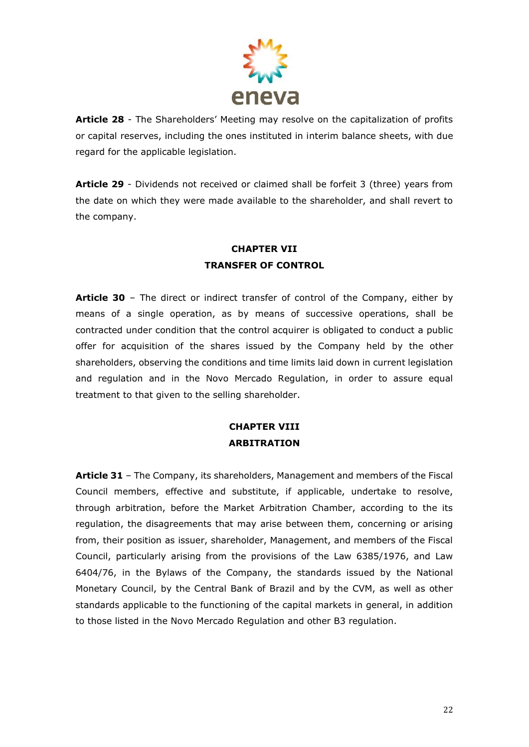

**Article 28** - The Shareholders' Meeting may resolve on the capitalization of profits or capital reserves, including the ones instituted in interim balance sheets, with due regard for the applicable legislation.

**Article 29** - Dividends not received or claimed shall be forfeit 3 (three) years from the date on which they were made available to the shareholder, and shall revert to the company.

### **CHAPTER VII TRANSFER OF CONTROL**

**Article 30** – The direct or indirect transfer of control of the Company, either by means of a single operation, as by means of successive operations, shall be contracted under condition that the control acquirer is obligated to conduct a public offer for acquisition of the shares issued by the Company held by the other shareholders, observing the conditions and time limits laid down in current legislation and regulation and in the Novo Mercado Regulation, in order to assure equal treatment to that given to the selling shareholder.

# **CHAPTER VIII ARBITRATION**

**Article 31** – The Company, its shareholders, Management and members of the Fiscal Council members, effective and substitute, if applicable, undertake to resolve, through arbitration, before the Market Arbitration Chamber, according to the its regulation, the disagreements that may arise between them, concerning or arising from, their position as issuer, shareholder, Management, and members of the Fiscal Council, particularly arising from the provisions of the Law 6385/1976, and Law 6404/76, in the Bylaws of the Company, the standards issued by the National Monetary Council, by the Central Bank of Brazil and by the CVM, as well as other standards applicable to the functioning of the capital markets in general, in addition to those listed in the Novo Mercado Regulation and other B3 regulation.